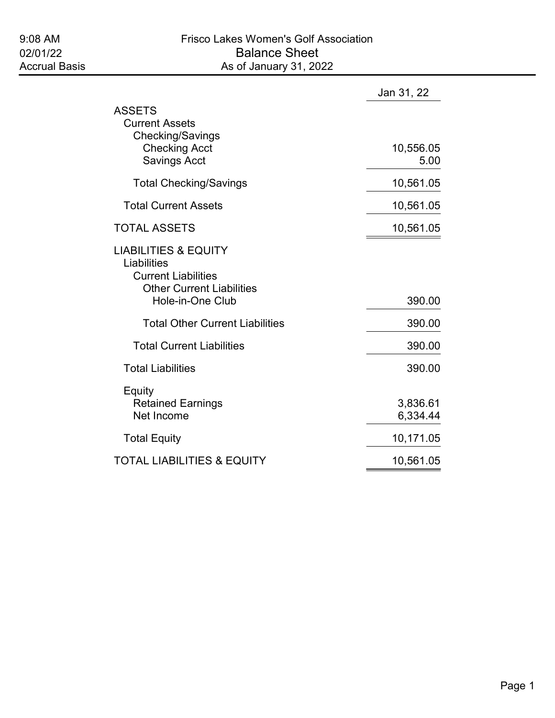|                                                                                                                                      | Jan 31, 22           |
|--------------------------------------------------------------------------------------------------------------------------------------|----------------------|
| <b>ASSETS</b><br><b>Current Assets</b><br>Checking/Savings<br><b>Checking Acct</b><br><b>Savings Acct</b>                            | 10,556.05<br>5.00    |
| <b>Total Checking/Savings</b>                                                                                                        | 10,561.05            |
| <b>Total Current Assets</b>                                                                                                          | 10,561.05            |
| <b>TOTAL ASSETS</b>                                                                                                                  | 10,561.05            |
| <b>LIABILITIES &amp; EQUITY</b><br>Liabilities<br><b>Current Liabilities</b><br><b>Other Current Liabilities</b><br>Hole-in-One Club | 390.00               |
| <b>Total Other Current Liabilities</b>                                                                                               | 390.00               |
| <b>Total Current Liabilities</b>                                                                                                     | 390.00               |
| <b>Total Liabilities</b>                                                                                                             | 390.00               |
| Equity<br><b>Retained Earnings</b><br>Net Income                                                                                     | 3,836.61<br>6,334.44 |
| <b>Total Equity</b>                                                                                                                  | 10,171.05            |
| <b>TOTAL LIABILITIES &amp; EQUITY</b>                                                                                                | 10,561.05            |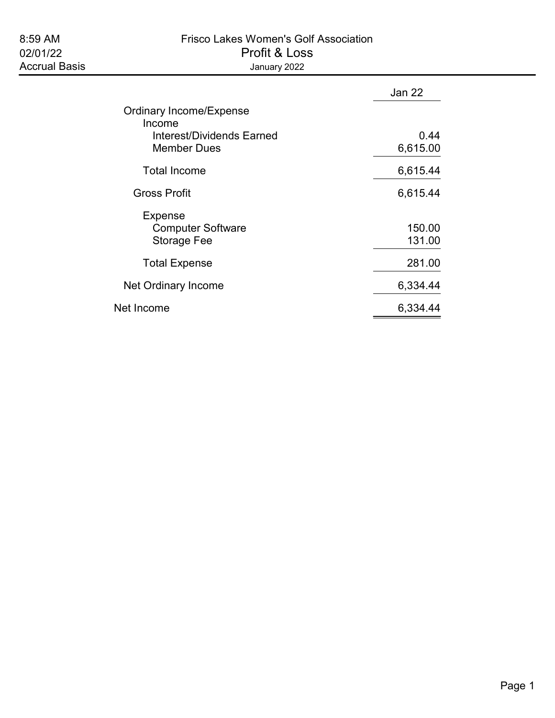# 8:59 AM Frisco Lakes Women's Golf Association 02/01/22 Profit & Loss

|                                          | Jan 22   |
|------------------------------------------|----------|
| <b>Ordinary Income/Expense</b><br>Income |          |
| Interest/Dividends Earned                | 0.44     |
| <b>Member Dues</b>                       | 6,615.00 |
| <b>Total Income</b>                      | 6,615.44 |
| <b>Gross Profit</b>                      | 6,615.44 |
| <b>Expense</b>                           |          |
| <b>Computer Software</b>                 | 150.00   |
| Storage Fee                              | 131.00   |
| <b>Total Expense</b>                     | 281.00   |
| Net Ordinary Income                      | 6,334.44 |
| Net Income                               | 6,334.44 |
|                                          |          |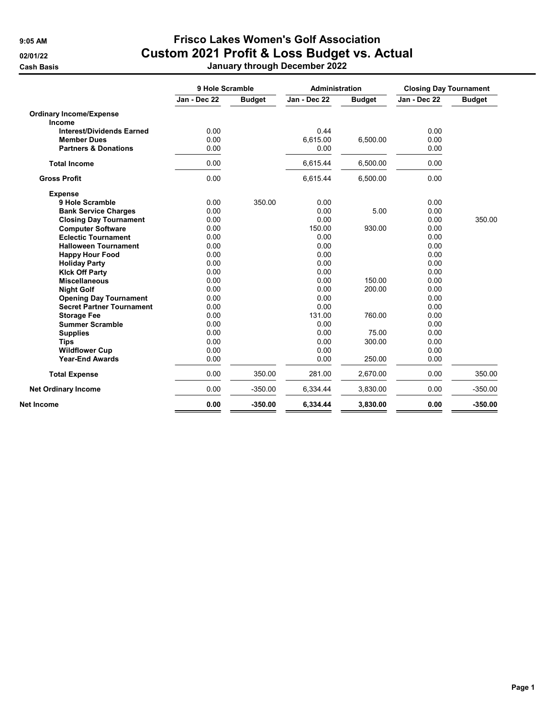**Cash Basis** 

## 9:05 AM Frisco Lakes Women's Golf Association 02/01/22 Custom 2021 Profit & Loss Budget vs. Actual<br>Cash Basis January through December 2022

|  |  | January through December 202 |  |
|--|--|------------------------------|--|
|--|--|------------------------------|--|

|                                  | 9 Hole Scramble |               | <b>Administration</b> |               | <b>Closing Day Tournament</b> |               |
|----------------------------------|-----------------|---------------|-----------------------|---------------|-------------------------------|---------------|
|                                  | Jan - Dec 22    | <b>Budget</b> | Jan - Dec 22          | <b>Budget</b> | Jan - Dec 22                  | <b>Budget</b> |
| <b>Ordinary Income/Expense</b>   |                 |               |                       |               |                               |               |
| Income                           |                 |               |                       |               |                               |               |
| <b>Interest/Dividends Earned</b> | 0.00            |               | 0.44                  |               | 0.00                          |               |
| <b>Member Dues</b>               | 0.00            |               | 6.615.00              | 6,500.00      | 0.00                          |               |
| <b>Partners &amp; Donations</b>  | 0.00            |               | 0.00                  |               | 0.00                          |               |
| <b>Total Income</b>              | 0.00            |               | 6,615.44              | 6,500.00      | 0.00                          |               |
| <b>Gross Profit</b>              | 0.00            |               | 6,615.44              | 6,500.00      | 0.00                          |               |
| <b>Expense</b>                   |                 |               |                       |               |                               |               |
| 9 Hole Scramble                  | 0.00            | 350.00        | 0.00                  |               | 0.00                          |               |
| <b>Bank Service Charges</b>      | 0.00            |               | 0.00                  | 5.00          | 0.00                          |               |
| <b>Closing Day Tournament</b>    | 0.00            |               | 0.00                  |               | 0.00                          | 350.00        |
| <b>Computer Software</b>         | 0.00            |               | 150.00                | 930.00        | 0.00                          |               |
| <b>Eclectic Tournament</b>       | 0.00            |               | 0.00                  |               | 0.00                          |               |
| <b>Halloween Tournament</b>      | 0.00            |               | 0.00                  |               | 0.00                          |               |
| <b>Happy Hour Food</b>           | 0.00            |               | 0.00                  |               | 0.00                          |               |
| <b>Holiday Party</b>             | 0.00            |               | 0.00                  |               | 0.00                          |               |
| <b>Kick Off Party</b>            | 0.00            |               | 0.00                  |               | 0.00                          |               |
| <b>Miscellaneous</b>             | 0.00            |               | 0.00                  | 150.00        | 0.00                          |               |
| <b>Night Golf</b>                | 0.00            |               | 0.00                  | 200.00        | 0.00                          |               |
| <b>Opening Day Tournament</b>    | 0.00            |               | 0.00                  |               | 0.00                          |               |
| <b>Secret Partner Tournament</b> | 0.00            |               | 0.00                  |               | 0.00                          |               |
| <b>Storage Fee</b>               | 0.00            |               | 131.00                | 760.00        | 0.00                          |               |
| <b>Summer Scramble</b>           | 0.00            |               | 0.00                  |               | 0.00                          |               |
| <b>Supplies</b>                  | 0.00            |               | 0.00                  | 75.00         | 0.00                          |               |
| <b>Tips</b>                      | 0.00            |               | 0.00                  | 300.00        | 0.00                          |               |
| <b>Wildflower Cup</b>            | 0.00            |               | 0.00                  |               | 0.00                          |               |
| <b>Year-End Awards</b>           | 0.00            |               | 0.00                  | 250.00        | 0.00                          |               |
| <b>Total Expense</b>             | 0.00            | 350.00        | 281.00                | 2,670.00      | 0.00                          | 350.00        |
| <b>Net Ordinary Income</b>       | 0.00            | $-350.00$     | 6,334.44              | 3,830.00      | 0.00                          | $-350.00$     |
| Net Income                       | 0.00            | $-350.00$     | 6,334.44              | 3,830.00      | 0.00                          | $-350.00$     |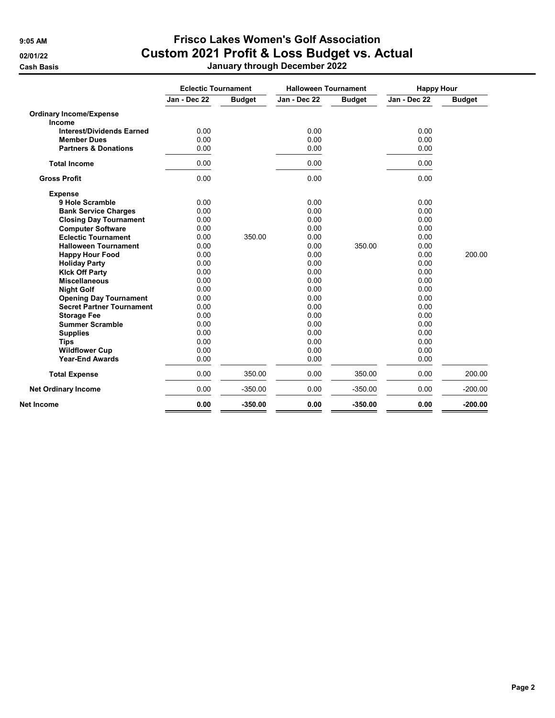**Cash Basis** 

### 9:05 AM Frisco Lakes Women's Golf Association 02/01/22 Custom 2021 Profit & Loss Budget vs. Actual

|  |  | January through December 2022 |  |
|--|--|-------------------------------|--|
|--|--|-------------------------------|--|

|                                  | <b>Eclectic Tournament</b> |               | <b>Halloween Tournament</b> |               | <b>Happy Hour</b> |               |
|----------------------------------|----------------------------|---------------|-----------------------------|---------------|-------------------|---------------|
|                                  | Jan - Dec 22               | <b>Budget</b> | Jan - Dec 22                | <b>Budget</b> | Jan - Dec 22      | <b>Budget</b> |
| <b>Ordinary Income/Expense</b>   |                            |               |                             |               |                   |               |
| Income                           |                            |               |                             |               |                   |               |
| <b>Interest/Dividends Earned</b> | 0.00                       |               | 0.00                        |               | 0.00              |               |
| <b>Member Dues</b>               | 0.00                       |               | 0.00                        |               | 0.00              |               |
| <b>Partners &amp; Donations</b>  | 0.00                       |               | 0.00                        |               | 0.00              |               |
| <b>Total Income</b>              | 0.00                       |               | 0.00                        |               | 0.00              |               |
| <b>Gross Profit</b>              | 0.00                       |               | 0.00                        |               | 0.00              |               |
| <b>Expense</b>                   |                            |               |                             |               |                   |               |
| 9 Hole Scramble                  | 0.00                       |               | 0.00                        |               | 0.00              |               |
| <b>Bank Service Charges</b>      | 0.00                       |               | 0.00                        |               | 0.00              |               |
| <b>Closing Day Tournament</b>    | 0.00                       |               | 0.00                        |               | 0.00              |               |
| <b>Computer Software</b>         | 0.00                       |               | 0.00                        |               | 0.00              |               |
| <b>Eclectic Tournament</b>       | 0.00                       | 350.00        | 0.00                        |               | 0.00              |               |
| <b>Halloween Tournament</b>      | 0.00                       |               | 0.00                        | 350.00        | 0.00              |               |
| <b>Happy Hour Food</b>           | 0.00                       |               | 0.00                        |               | 0.00              | 200.00        |
| <b>Holiday Party</b>             | 0.00                       |               | 0.00                        |               | 0.00              |               |
| <b>Kick Off Party</b>            | 0.00                       |               | 0.00                        |               | 0.00              |               |
| <b>Miscellaneous</b>             | 0.00                       |               | 0.00                        |               | 0.00              |               |
| <b>Night Golf</b>                | 0.00                       |               | 0.00                        |               | 0.00              |               |
| <b>Opening Day Tournament</b>    | 0.00                       |               | 0.00                        |               | 0.00              |               |
| <b>Secret Partner Tournament</b> | 0.00                       |               | 0.00                        |               | 0.00              |               |
| <b>Storage Fee</b>               | 0.00                       |               | 0.00                        |               | 0.00              |               |
| <b>Summer Scramble</b>           | 0.00                       |               | 0.00                        |               | 0.00              |               |
| <b>Supplies</b>                  | 0.00                       |               | 0.00                        |               | 0.00              |               |
| <b>Tips</b>                      | 0.00                       |               | 0.00                        |               | 0.00              |               |
| <b>Wildflower Cup</b>            | 0.00                       |               | 0.00                        |               | 0.00              |               |
| <b>Year-End Awards</b>           | 0.00                       |               | 0.00                        |               | 0.00              |               |
| <b>Total Expense</b>             | 0.00                       | 350.00        | 0.00                        | 350.00        | 0.00              | 200.00        |
| <b>Net Ordinary Income</b>       | 0.00                       | $-350.00$     | 0.00                        | $-350.00$     | 0.00              | $-200.00$     |
| Net Income                       | 0.00                       | $-350.00$     | 0.00                        | $-350.00$     | 0.00              | $-200.00$     |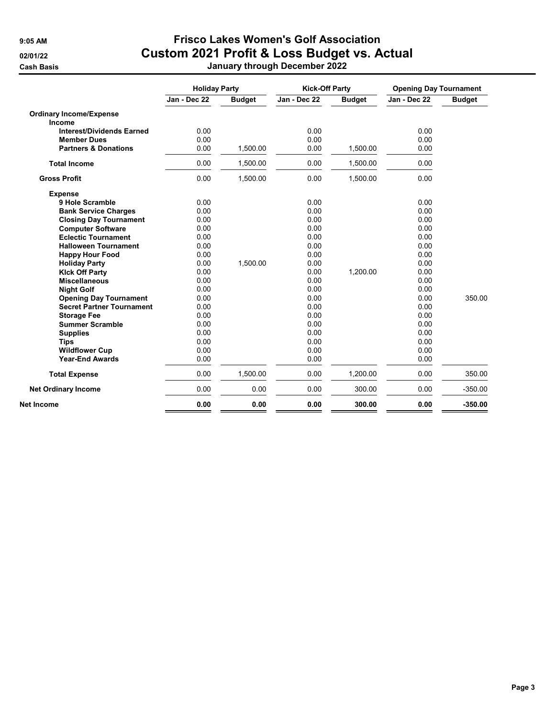#### 9:05 AM Frisco Lakes Women's Golf Association 02/01/22 Custom 2021 Profit & Loss Budget vs. Actual Cash Basis January through December 2022

|  |  | January through December 2022 |  |
|--|--|-------------------------------|--|
|--|--|-------------------------------|--|

|                                  | <b>Holiday Party</b> |               | <b>Kick-Off Party</b> |               | <b>Opening Day Tournament</b> |               |
|----------------------------------|----------------------|---------------|-----------------------|---------------|-------------------------------|---------------|
|                                  | Jan - Dec 22         | <b>Budget</b> | Jan - Dec 22          | <b>Budget</b> | Jan - Dec 22                  | <b>Budget</b> |
| <b>Ordinary Income/Expense</b>   |                      |               |                       |               |                               |               |
| Income                           |                      |               |                       |               |                               |               |
| <b>Interest/Dividends Earned</b> | 0.00                 |               | 0.00                  |               | 0.00                          |               |
| <b>Member Dues</b>               | 0.00                 |               | 0.00                  |               | 0.00                          |               |
| <b>Partners &amp; Donations</b>  | 0.00                 | 1,500.00      | 0.00                  | 1,500.00      | 0.00                          |               |
| <b>Total Income</b>              | 0.00                 | 1,500.00      | 0.00                  | 1,500.00      | 0.00                          |               |
| <b>Gross Profit</b>              | 0.00                 | 1,500.00      | 0.00                  | 1,500.00      | 0.00                          |               |
| <b>Expense</b>                   |                      |               |                       |               |                               |               |
| 9 Hole Scramble                  | 0.00                 |               | 0.00                  |               | 0.00                          |               |
| <b>Bank Service Charges</b>      | 0.00                 |               | 0.00                  |               | 0.00                          |               |
| <b>Closing Day Tournament</b>    | 0.00                 |               | 0.00                  |               | 0.00                          |               |
| <b>Computer Software</b>         | 0.00                 |               | 0.00                  |               | 0.00                          |               |
| <b>Eclectic Tournament</b>       | 0.00                 |               | 0.00                  |               | 0.00                          |               |
| <b>Halloween Tournament</b>      | 0.00                 |               | 0.00                  |               | 0.00                          |               |
| <b>Happy Hour Food</b>           | 0.00                 |               | 0.00                  |               | 0.00                          |               |
| <b>Holiday Party</b>             | 0.00                 | 1,500.00      | 0.00                  |               | 0.00                          |               |
| <b>Kick Off Party</b>            | 0.00                 |               | 0.00                  | 1,200.00      | 0.00                          |               |
| <b>Miscellaneous</b>             | 0.00                 |               | 0.00                  |               | 0.00                          |               |
| <b>Night Golf</b>                | 0.00                 |               | 0.00                  |               | 0.00                          |               |
| <b>Opening Day Tournament</b>    | 0.00                 |               | 0.00                  |               | 0.00                          | 350.00        |
| <b>Secret Partner Tournament</b> | 0.00                 |               | 0.00                  |               | 0.00                          |               |
| <b>Storage Fee</b>               | 0.00                 |               | 0.00                  |               | 0.00                          |               |
| <b>Summer Scramble</b>           | 0.00                 |               | 0.00                  |               | 0.00                          |               |
| <b>Supplies</b>                  | 0.00                 |               | 0.00                  |               | 0.00                          |               |
| <b>Tips</b>                      | 0.00                 |               | 0.00                  |               | 0.00                          |               |
| <b>Wildflower Cup</b>            | 0.00                 |               | 0.00                  |               | 0.00                          |               |
| <b>Year-End Awards</b>           | 0.00                 |               | 0.00                  |               | 0.00                          |               |
| <b>Total Expense</b>             | 0.00                 | 1,500.00      | 0.00                  | 1,200.00      | 0.00                          | 350.00        |
| <b>Net Ordinary Income</b>       | 0.00                 | 0.00          | 0.00                  | 300.00        | 0.00                          | $-350.00$     |
| Net Income                       | 0.00                 | 0.00          | 0.00                  | 300.00        | 0.00                          | $-350.00$     |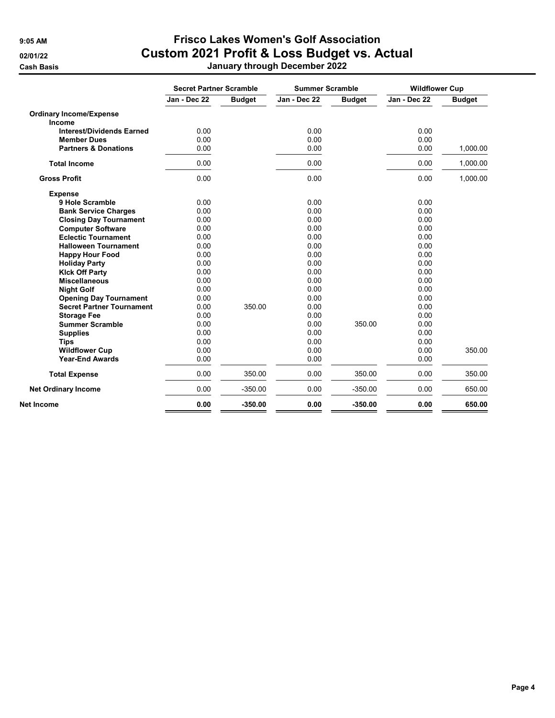Summer Scramble

Year-End Awards

#### 9:05 AM Frisco Lakes Women's Golf Association 02/01/22 Custom 2021 Profit & Loss Budget vs. Actual Cash Basis January through December 2022

|                                  | <b>Secret Partner Scramble</b> |               |              | <b>Summer Scramble</b> |              | <b>Wildflower Cup</b> |
|----------------------------------|--------------------------------|---------------|--------------|------------------------|--------------|-----------------------|
|                                  | Jan - Dec 22                   | <b>Budget</b> | Jan - Dec 22 | <b>Budget</b>          | Jan - Dec 22 | <b>Budget</b>         |
| <b>Ordinary Income/Expense</b>   |                                |               |              |                        |              |                       |
| <b>Income</b>                    |                                |               |              |                        |              |                       |
| <b>Interest/Dividends Earned</b> | 0.00                           |               | 0.00         |                        | 0.00         |                       |
| <b>Member Dues</b>               | 0.00                           |               | 0.00         |                        | 0.00         |                       |
| <b>Partners &amp; Donations</b>  | 0.00                           |               | 0.00         |                        | 0.00         | 1,000.00              |
|                                  |                                |               |              |                        |              |                       |
| <b>Total Income</b>              | 0.00                           |               | 0.00         |                        | 0.00         | 1,000.00              |
| <b>Gross Profit</b>              | 0.00                           |               | 0.00         |                        | 0.00         | 1,000.00              |
| <b>Expense</b>                   |                                |               |              |                        |              |                       |
| 9 Hole Scramble                  | 0.00                           |               | 0.00         |                        | 0.00         |                       |
| <b>Bank Service Charges</b>      | 0.00                           |               | 0.00         |                        | 0.00         |                       |
| <b>Closing Day Tournament</b>    | 0.00                           |               | 0.00         |                        | 0.00         |                       |
| <b>Computer Software</b>         | 0.00                           |               | 0.00         |                        | 0.00         |                       |
| <b>Eclectic Tournament</b>       | 0.00                           |               | 0.00         |                        | 0.00         |                       |
| <b>Halloween Tournament</b>      | 0.00                           |               | 0.00         |                        | 0.00         |                       |
| <b>Happy Hour Food</b>           | 0.00                           |               | 0.00         |                        | 0.00         |                       |
| <b>Holiday Party</b>             | 0.00                           |               | 0.00         |                        | 0.00         |                       |
| <b>Kick Off Party</b>            | 0.00                           |               | 0.00         |                        | 0.00         |                       |
| <b>Miscellaneous</b>             | 0.00                           |               | 0.00         |                        | 0.00         |                       |
| <b>Night Golf</b>                | 0.00                           |               | 0.00         |                        | 0.00         |                       |

Night Golf 0.00 0.00 0.00 Opening Day Tournament 0.00 0.00 0.00 Secret Partner Tournament  $0.00$  350.00  $0.00$  0.00 0.00 0.00 0.00 0.00 0.00 Storage Fee 0.00 0.00 0.00

Supplies 0.00 0.00 0.00  $\textsf{Tips} \hspace{1.5cm} 0.00 \hspace{3.5cm} 0.00 \hspace{3.5cm} 0.00$ 

Wildflower Cup 0.00 0.00 0.00 350.00

Total Expense 0.00 350.00 0.00 350.00 0.00 350.00 Net Ordinary Income 0.00 -350.00 0.00 -350.00 0.00 650.00 Net Income 0.00 -350.00 0.00 -350.00 0.00 650.00